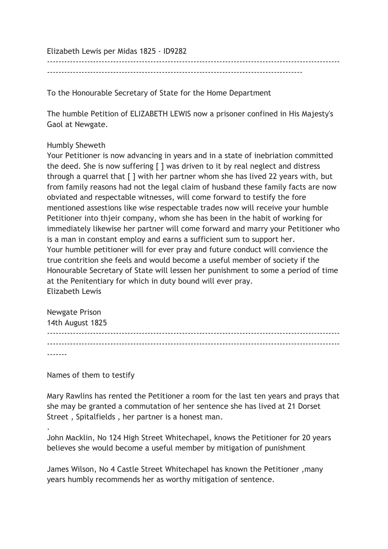Elizabeth Lewis per Midas 1825 - ID9282

-----------------------------------------------------------------------------------------

------------------------------------------------------------------------------------------------------

To the Honourable Secretary of State for the Home Department

The humble Petition of ELIZABETH LEWIS now a prisoner confined in His Majesty's Gaol at Newgate.

## Humbly Sheweth

Your Petitioner is now advancing in years and in a state of inebriation committed the deed. She is now suffering [ ] was driven to it by real neglect and distress through a quarrel that [ ] with her partner whom she has lived 22 years with, but from family reasons had not the legal claim of husband these family facts are now obviated and respectable witnesses, will come forward to testify the fore mentioned assestions like wise respectable trades now will receive your humble Petitioner into thjeir company, whom she has been in the habit of working for immediately likewise her partner will come forward and marry your Petitioner who is a man in constant employ and earns a sufficient sum to support her. Your humble petitioner will for ever pray and future conduct will convience the true contrition she feels and would become a useful member of society if the Honourable Secretary of State will lessen her punishment to some a period of time at the Penitentiary for which in duty bound will ever pray. Elizabeth Lewis

| Newgate Prison   |  |  |
|------------------|--|--|
| 14th August 1825 |  |  |
|                  |  |  |
|                  |  |  |
|                  |  |  |

Names of them to testify

.

Mary Rawlins has rented the Petitioner a room for the last ten years and prays that she may be granted a commutation of her sentence she has lived at 21 Dorset Street , Spitalfields , her partner is a honest man.

John Macklin, No 124 High Street Whitechapel, knows the Petitioner for 20 years believes she would become a useful member by mitigation of punishment

James Wilson, No 4 Castle Street Whitechapel has known the Petitioner ,many years humbly recommends her as worthy mitigation of sentence.